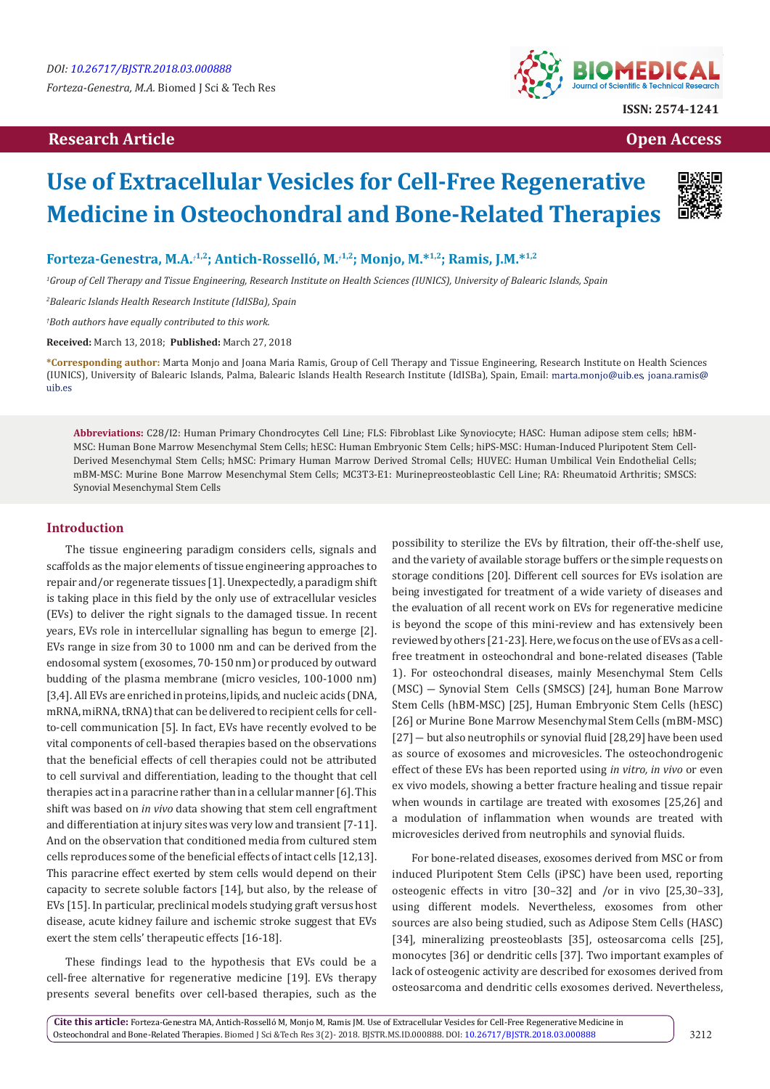## **Research Article Open Access Contract Article Open Access Open Access Open Access**



# **Use of Extracellular Vesicles for Cell-Free Regenerative Medicine in Osteochondral and Bone-Related Therapies**



## **Forteza-Genestra, M.A.***†***1,2; Antich-Rosselló, M.***†***1,2; Monjo, M.\*1,2; Ramis, J.M.\*1,2**

*1 Group of Cell Therapy and Tissue Engineering, Research Institute on Health Sciences (IUNICS), University of Balearic Islands, Spain*

*2 Balearic Islands Health Research Institute (IdISBa), Spain*

*† Both authors have equally contributed to this work.*

**Received:** March 13, 2018; **Published:** March 27, 2018

**\*Corresponding author:** Marta Monjo and Joana Maria Ramis, Group of Cell Therapy and Tissue Engineering, Research Institute on Health Sciences (IUNICS), University of Balearic Islands, Palma, Balearic Islands Health Research Institute (IdISBa), Spain, Email: marta.monjo@uib.es, joana.ramis@uib.es

**Abbreviations:** C28/I2: Human Primary Chondrocytes Cell Line; FLS: Fibroblast Like Synoviocyte; HASC: Human adipose stem cells; hBM-MSC: Human Bone Marrow Mesenchymal Stem Cells; hESC: Human Embryonic Stem Cells; hiPS-MSC: Human-Induced Pluripotent Stem Cell-Derived Mesenchymal Stem Cells; hMSC: Primary Human Marrow Derived Stromal Cells; HUVEC: Human Umbilical Vein Endothelial Cells; mBM-MSC: Murine Bone Marrow Mesenchymal Stem Cells; MC3T3-E1: Murinepreosteoblastic Cell Line; RA: Rheumatoid Arthritis; SMSCS: Synovial Mesenchymal Stem Cells

### **Introduction**

The tissue engineering paradigm considers cells, signals and scaffolds as the major elements of tissue engineering approaches to repair and/or regenerate tissues [1]. Unexpectedly, a paradigm shift is taking place in this field by the only use of extracellular vesicles (EVs) to deliver the right signals to the damaged tissue. In recent years, EVs role in intercellular signalling has begun to emerge [2]. EVs range in size from 30 to 1000 nm and can be derived from the endosomal system (exosomes, 70-150 nm) or produced by outward budding of the plasma membrane (micro vesicles, 100-1000 nm) [3,4]. All EVs are enriched in proteins, lipids, and nucleic acids (DNA, mRNA, miRNA, tRNA) that can be delivered to recipient cells for cellto-cell communication [5]. In fact, EVs have recently evolved to be vital components of cell-based therapies based on the observations that the beneficial effects of cell therapies could not be attributed to cell survival and differentiation, leading to the thought that cell therapies act in a paracrine rather than in a cellular manner [6]. This shift was based on *in vivo* data showing that stem cell engraftment and differentiation at injury sites was very low and transient [7-11]. And on the observation that conditioned media from cultured stem cells reproduces some of the beneficial effects of intact cells [12,13]. This paracrine effect exerted by stem cells would depend on their capacity to secrete soluble factors [14], but also, by the release of EVs [15]. In particular, preclinical models studying graft versus host disease, acute kidney failure and ischemic stroke suggest that EVs exert the stem cells' therapeutic effects [16-18].

These findings lead to the hypothesis that EVs could be a cell-free alternative for regenerative medicine [19]. EVs therapy presents several benefits over cell-based therapies, such as the possibility to sterilize the EVs by filtration, their off-the-shelf use, and the variety of available storage buffers or the simple requests on storage conditions [20]. Different cell sources for EVs isolation are being investigated for treatment of a wide variety of diseases and the evaluation of all recent work on EVs for regenerative medicine is beyond the scope of this mini-review and has extensively been reviewed by others [21-23]. Here, we focus on the use of EVs as a cellfree treatment in osteochondral and bone-related diseases (Table 1). For osteochondral diseases, mainly Mesenchymal Stem Cells (MSC) ― Synovial Stem Cells (SMSCS) [24], human Bone Marrow Stem Cells (hBM-MSC) [25], Human Embryonic Stem Cells (hESC) [26] or Murine Bone Marrow Mesenchymal Stem Cells (mBM-MSC) [27] – but also neutrophils or synovial fluid [28,29] have been used as source of exosomes and microvesicles. The osteochondrogenic effect of these EVs has been reported using *in vitro, in vivo* or even ex vivo models, showing a better fracture healing and tissue repair when wounds in cartilage are treated with exosomes [25,26] and a modulation of inflammation when wounds are treated with microvesicles derived from neutrophils and synovial fluids.

For bone-related diseases, exosomes derived from MSC or from induced Pluripotent Stem Cells (iPSC) have been used, reporting osteogenic effects in vitro [30–32] and /or in vivo [25,30–33], using different models. Nevertheless, exosomes from other sources are also being studied, such as Adipose Stem Cells (HASC) [34], mineralizing preosteoblasts [35], osteosarcoma cells [25], monocytes [36] or dendritic cells [37]. Two important examples of lack of osteogenic activity are described for exosomes derived from osteosarcoma and dendritic cells exosomes derived. Nevertheless,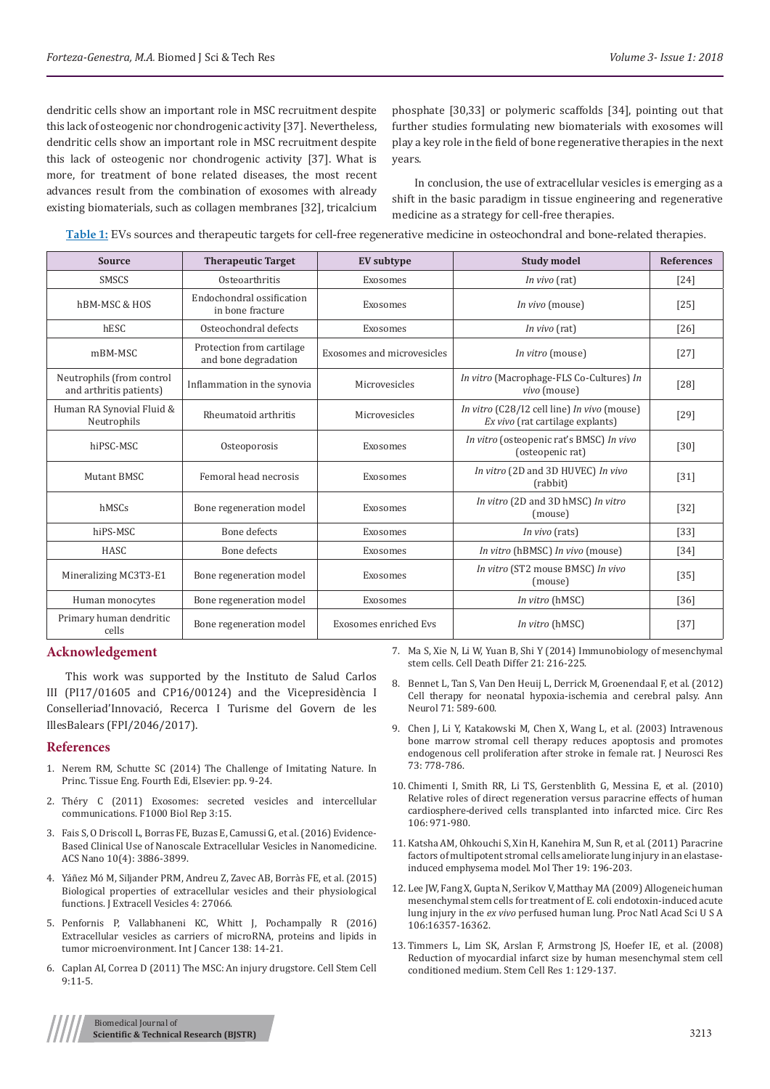dendritic cells show an important role in MSC recruitment despite this lack of osteogenic nor chondrogenic activity [37]. Nevertheless, dendritic cells show an important role in MSC recruitment despite this lack of osteogenic nor chondrogenic activity [37]. What is more, for treatment of bone related diseases, the most recent advances result from the combination of exosomes with already existing biomaterials, such as collagen membranes [32], tricalcium

phosphate [30,33] or polymeric scaffolds [34], pointing out that further studies formulating new biomaterials with exosomes will play a key role in the field of bone regenerative therapies in the next years.

 In conclusion, the use of extracellular vesicles is emerging as a shift in the basic paradigm in tissue engineering and regenerative medicine as a strategy for cell-free therapies.

**Table 1:** EVs sources and therapeutic targets for cell-free regenerative medicine in osteochondral and bone-related therapies.

| <b>Source</b>                                        | <b>Therapeutic Target</b>                         | <b>EV</b> subtype          | <b>Study model</b>                                                              | <b>References</b> |
|------------------------------------------------------|---------------------------------------------------|----------------------------|---------------------------------------------------------------------------------|-------------------|
| <b>SMSCS</b>                                         | Osteoarthritis                                    | Exosomes                   | In vivo (rat)                                                                   | $[24]$            |
| hBM-MSC & HOS                                        | Endochondral ossification<br>in bone fracture     | Exosomes                   | In vivo (mouse)                                                                 | $[25]$            |
| hESC                                                 | Osteochondral defects                             | Exosomes                   | In vivo (rat)                                                                   | [26]              |
| mBM-MSC                                              | Protection from cartilage<br>and bone degradation | Exosomes and microvesicles | In vitro (mouse)                                                                | $[27]$            |
| Neutrophils (from control<br>and arthritis patients) | Inflammation in the synovia                       | Microvesicles              | In vitro (Macrophage-FLS Co-Cultures) In<br>vivo (mouse)                        | $[28]$            |
| Human RA Synovial Fluid &<br>Neutrophils             | Rheumatoid arthritis                              | Microvesicles              | In vitro (C28/I2 cell line) In vivo (mouse)<br>Ex vivo (rat cartilage explants) | $[29]$            |
| hiPSC-MSC                                            | Osteoporosis                                      | Exosomes                   | In vitro (osteopenic rat's BMSC) In vivo<br>(osteopenic rat)                    | $[30]$            |
| Mutant BMSC                                          | Femoral head necrosis                             | Exosomes                   | In vitro (2D and 3D HUVEC) In vivo<br>(rabbit)                                  | $[31]$            |
| hMSCs                                                | Bone regeneration model                           | Exosomes                   | In vitro (2D and 3D hMSC) In vitro<br>(mouse)                                   | $[32]$            |
| hiPS-MSC                                             | Bone defects                                      | Exosomes                   | In vivo (rats)                                                                  | $[33]$            |
| HASC                                                 | Bone defects                                      | Exosomes                   | In vitro (hBMSC) In vivo (mouse)                                                | $[34]$            |
| Mineralizing MC3T3-E1                                | Bone regeneration model                           | Exosomes                   | In vitro (ST2 mouse BMSC) In vivo<br>(mouse)                                    | $[35]$            |
| Human monocytes                                      | Bone regeneration model                           | Exosomes                   | In vitro (hMSC)                                                                 | $[36]$            |
| Primary human dendritic<br>cells                     | Bone regeneration model                           | Exosomes enriched Evs      | In vitro (hMSC)                                                                 | $[37]$            |

#### **Acknowledgement**

This work was supported by the Instituto de Salud Carlos III (PI17/01605 and CP16/00124) and the Vicepresidència I Conselleriad'Innovació, Recerca I Turisme del Govern de les IllesBalears (FPI/2046/2017).

#### **References**

- 1. [Nerem RM, Schutte SC \(2014\) The Challenge of Imitating Nature. In](https://www.researchgate.net/publication/285935819_The_Challenge_of_Imitating_Nature)  [Princ. Tissue Eng. Fourth Edi, Elsevier: pp. 9-24.](https://www.researchgate.net/publication/285935819_The_Challenge_of_Imitating_Nature)
- 2. [Théry C \(2011\) Exosomes: secreted vesicles and intercellular](https://www.ncbi.nlm.nih.gov/pmc/articles/PMC3155154/)  [communications. F1000 Biol Rep 3:15.](https://www.ncbi.nlm.nih.gov/pmc/articles/PMC3155154/)
- 3. [Fais S, O Driscoll L, Borras FE, Buzas E, Camussi G, et al. \(2016\) Evidence-](https://pubs.acs.org/doi/abs/10.1021/acsnano.5b08015)[Based Clinical Use of Nanoscale Extracellular Vesicles in Nanomedicine.](https://pubs.acs.org/doi/abs/10.1021/acsnano.5b08015)  [ACS Nano 10\(4\): 3886-3899.](https://pubs.acs.org/doi/abs/10.1021/acsnano.5b08015)
- 4. [Yáñez Mó M, Siljander PRM, Andreu Z, Zavec AB, Borràs FE, et al. \(2015\)](https://www.ncbi.nlm.nih.gov/pubmed/25979354)  [Biological properties of extracellular vesicles and their physiological](https://www.ncbi.nlm.nih.gov/pubmed/25979354)  [functions. J Extracell Vesicles 4: 27066.](https://www.ncbi.nlm.nih.gov/pubmed/25979354)
- 5. [Penfornis P, Vallabhaneni KC, Whitt J, Pochampally R \(2016\)](https://www.ncbi.nlm.nih.gov/pubmed/25559768)  [Extracellular vesicles as carriers of microRNA, proteins and lipids in](https://www.ncbi.nlm.nih.gov/pubmed/25559768)  [tumor microenvironment. Int J Cancer 138: 14-21.](https://www.ncbi.nlm.nih.gov/pubmed/25559768)
- 6. [Caplan AI, Correa D \(2011\) The MSC: An injury drugstore. Cell Stem Cell](https://www.ncbi.nlm.nih.gov/pubmed/21726829)  [9:11-5.](https://www.ncbi.nlm.nih.gov/pubmed/21726829)

7. [Ma S, Xie N, Li W, Yuan B, Shi Y \(2014\) Immunobiology of mesenchymal](https://www.ncbi.nlm.nih.gov/pubmed/24185619) [stem cells. Cell Death Differ 21: 216-225.](https://www.ncbi.nlm.nih.gov/pubmed/24185619)

- 8. [Bennet L, Tan S, Van Den Heuij L, Derrick M, Groenendaal F, et al. \(2012\)](https://www.ncbi.nlm.nih.gov/pubmed/22522476) [Cell therapy for neonatal hypoxia-ischemia and cerebral palsy. Ann](https://www.ncbi.nlm.nih.gov/pubmed/22522476) [Neurol 71: 589-600.](https://www.ncbi.nlm.nih.gov/pubmed/22522476)
- 9. [Chen J, Li Y, Katakowski M, Chen X, Wang L, et al. \(2003\) Intravenous](https://www.ncbi.nlm.nih.gov/pubmed/12949903) [bone marrow stromal cell therapy reduces apoptosis and promotes](https://www.ncbi.nlm.nih.gov/pubmed/12949903) [endogenous cell proliferation after stroke in female rat. J Neurosci Res](https://www.ncbi.nlm.nih.gov/pubmed/12949903) [73: 778-786.](https://www.ncbi.nlm.nih.gov/pubmed/12949903)
- 10. [Chimenti I, Smith RR, Li TS, Gerstenblith G, Messina E, et al. \(2010\)](https://www.ncbi.nlm.nih.gov/pubmed/20110532) [Relative roles of direct regeneration versus paracrine effects of human](https://www.ncbi.nlm.nih.gov/pubmed/20110532) [cardiosphere-derived cells transplanted into infarcted mice. Circ Res](https://www.ncbi.nlm.nih.gov/pubmed/20110532) [106: 971-980.](https://www.ncbi.nlm.nih.gov/pubmed/20110532)
- 11. [Katsha AM, Ohkouchi S, Xin H, Kanehira M, Sun R, et al. \(2011\) Paracrine](https://www.ncbi.nlm.nih.gov/pubmed/20842104) [factors of multipotent stromal cells ameliorate lung injury in an elastase](https://www.ncbi.nlm.nih.gov/pubmed/20842104)[induced emphysema model. Mol Ther 19: 196-203.](https://www.ncbi.nlm.nih.gov/pubmed/20842104)
- 12. [Lee JW, Fang X, Gupta N, Serikov V, Matthay MA \(2009\) Allogeneic human](https://www.ncbi.nlm.nih.gov/pubmed/19721001) [mesenchymal stem cells for treatment of E. coli endotoxin-induced acute](https://www.ncbi.nlm.nih.gov/pubmed/19721001) lung injury in the *ex vivo* [perfused human lung. Proc Natl Acad Sci U S A](https://www.ncbi.nlm.nih.gov/pubmed/19721001) [106:16357-16362.](https://www.ncbi.nlm.nih.gov/pubmed/19721001)
- 13. [Timmers L, Lim SK, Arslan F, Armstrong JS, Hoefer IE, et al. \(2008\)](https://www.ncbi.nlm.nih.gov/pubmed/19383393) [Reduction of myocardial infarct size by human mesenchymal stem cell](https://www.ncbi.nlm.nih.gov/pubmed/19383393) [conditioned medium. Stem Cell Res 1: 129-137.](https://www.ncbi.nlm.nih.gov/pubmed/19383393)